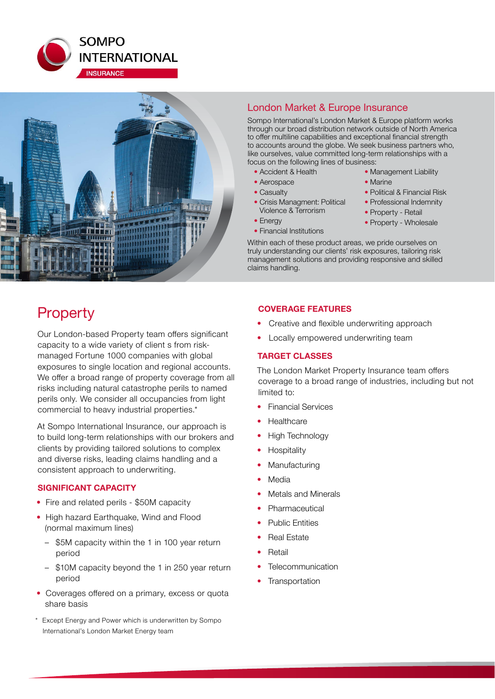



# London Market & Europe Insurance

Sompo International's London Market & Europe platform works through our broad distribution network outside of North America to offer multiline capabilities and exceptional financial strength to accounts around the globe. We seek business partners who, like ourselves, value committed long-term relationships with a focus on the following lines of business:

- Accident & Health
- Aerospace
- Casualty
- Crisis Managment: Political Violence & Terrorism
- Energy
- Financial Institutions
- Marine • Political & Financial Risk

• Management Liability

- Professional Indemnity
- Property Retail
- Property Wholesale

Within each of these product areas, we pride ourselves on truly understanding our clients' risk exposures, tailoring risk management solutions and providing responsive and skilled claims handling.

# **Property**

Our London-based Property team offers significant capacity to a wide variety of client s from riskmanaged Fortune 1000 companies with global exposures to single location and regional accounts. We offer a broad range of property coverage from all risks including natural catastrophe perils to named perils only. We consider all occupancies from light commercial to heavy industrial properties.\*

At Sompo International Insurance, our approach is to build long-term relationships with our brokers and clients by providing tailored solutions to complex and diverse risks, leading claims handling and a consistent approach to underwriting.

# **SIGNIFICANT CAPACITY**

- Fire and related perils \$50M capacity
- High hazard Earthquake, Wind and Flood (normal maximum lines)
	- \$5M capacity within the 1 in 100 year return period
	- \$10M capacity beyond the 1 in 250 year return period
- Coverages offered on a primary, excess or quota share basis
- Except Energy and Power which is underwritten by Sompo International's London Market Energy team

# **COVERAGE FEATURES**

- Creative and flexible underwriting approach
- Locally empowered underwriting team

# **TARGET CLASSES**

The London Market Property Insurance team offers coverage to a broad range of industries, including but not limited to:

- Financial Services
- **Healthcare**
- High Technology
- **Hospitality**
- **Manufacturing**
- **Media**
- Metals and Minerals
- **Pharmaceutical**
- Public Entities
- **Real Estate**
- **Retail**
- **Telecommunication**
- **Transportation**